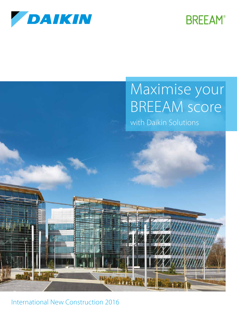

## **BREEAM®**

# Maximise your BREEAM score

with Daikin Solutions



International New Construction 2016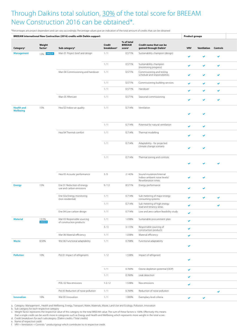### Through Daikins total solution, 30% of the total score for BREEAM New Construction 2016 can be obtained\*.

\*Percentages are project dependant and can vary accordingly. Percentage values give an indication of the total amount of credits that can be obtained

| BREEAM international New Contruction (2016) credits with Daikin support<br><b>Product groups</b> |                               |                                                         |                                  |                              |                                                                        |                          |                             |              |  |
|--------------------------------------------------------------------------------------------------|-------------------------------|---------------------------------------------------------|----------------------------------|------------------------------|------------------------------------------------------------------------|--------------------------|-----------------------------|--------------|--|
|                                                                                                  | Weight<br>factor <sup>c</sup> | Sub category <sup>b</sup>                               | Credit<br>breakdown <sup>d</sup> | % of total<br><b>BREEAM</b>  | Credit name that can be<br>gained through Daikinf                      | <b>VRV</b>               | <b>Ventilation Controls</b> |              |  |
| Category <sup>a</sup><br><b>Management</b>                                                       | 12% <b>UNIQUE</b>             | Man 01 Project brief and design                         | 1/1                              | score <sup>e</sup><br>0.571% | Sustainability champion (design)                                       |                          |                             |              |  |
|                                                                                                  |                               |                                                         |                                  |                              |                                                                        | $\checkmark$             |                             | $\checkmark$ |  |
|                                                                                                  |                               |                                                         | 1/1                              | 0.571%                       | Sustainability champion<br>(monitoring progress)                       | $\checkmark$             | $\checkmark$                | $\checkmark$ |  |
|                                                                                                  |                               | Man 04 Commissioning and handover 1/1                   |                                  | 0.571%                       | Commissioning and testing<br>schedule and responsibilities             | $\checkmark$             | $\checkmark$                | $\checkmark$ |  |
|                                                                                                  |                               |                                                         | 1/1                              | 0.571%                       | Commissioning building services                                        |                          |                             |              |  |
|                                                                                                  |                               |                                                         | 1/1                              | 0.571%                       | Handover                                                               | $\checkmark$             | $\checkmark$                | $\checkmark$ |  |
|                                                                                                  |                               | Man 05 Aftercare                                        | 1/1                              | 0.571%                       |                                                                        | $\checkmark$             | $\checkmark$                | $\checkmark$ |  |
|                                                                                                  |                               |                                                         |                                  |                              | Seasonal commissioning                                                 | $\checkmark$             | $\bullet$                   | $\checkmark$ |  |
| <b>Health and</b>                                                                                | 15%                           | Hea 02 Indoor air quality                               | 1/1                              | 0.714%                       | Ventilation                                                            |                          |                             |              |  |
| <b>Wellbeing</b>                                                                                 |                               |                                                         |                                  |                              |                                                                        | $\checkmark$             | $\checkmark$                |              |  |
|                                                                                                  |                               |                                                         |                                  |                              |                                                                        |                          |                             |              |  |
|                                                                                                  |                               |                                                         | 1/1                              | 0.714%                       | Potential for natural ventilation                                      | $\checkmark$             | $\checkmark$                |              |  |
|                                                                                                  |                               | Hea 04 Thermal comfort                                  | 1/1                              | 0.714%                       | Thermal modelling                                                      | $\checkmark$             | $\checkmark$                |              |  |
|                                                                                                  |                               |                                                         | 1/1                              | 0.714%                       | Adaptability - for projected                                           |                          |                             |              |  |
|                                                                                                  |                               |                                                         |                                  |                              | climate change scenario                                                | $\overline{\mathbf{v}}$  | $\overline{\mathbf{v}}$     |              |  |
|                                                                                                  |                               |                                                         | 1/1                              | 0.714%                       | Thermal zoning and controls                                            |                          |                             |              |  |
|                                                                                                  |                               |                                                         |                                  |                              |                                                                        | $\overline{\mathscr{L}}$ |                             | $\checkmark$ |  |
|                                                                                                  |                               |                                                         |                                  |                              |                                                                        |                          |                             |              |  |
|                                                                                                  |                               | Hea 05 Acoustic performance                             | 3/3                              | 2.143%                       | Sound insulation/Internal<br>Indoor ambient noise levels/              | $\checkmark$             | $\checkmark$                |              |  |
|                                                                                                  |                               |                                                         |                                  |                              | Reverberation times                                                    |                          |                             |              |  |
| <b>Energy</b>                                                                                    | 15%                           | Ene 01 Reduction of energy<br>use and carbon emissions  | 9/12                             | 8.571%                       | Energy performance                                                     | $\checkmark$             | $\checkmark$                |              |  |
|                                                                                                  |                               | Ene 02a Energy monitoring                               | 1/1                              | 0.714%                       | Sub metering of major energy                                           | $\checkmark$             | $\checkmark$                | $\checkmark$ |  |
|                                                                                                  |                               | (non residential)                                       | 1/1                              | 0.714%                       | consuming systems<br>Sub metering of high energy                       |                          |                             |              |  |
|                                                                                                  |                               | Ene 04 Low carbon design                                | 1/1                              |                              | load and tenancy areas<br>0.714% Low and zero carbon feasibility study | $\checkmark$             |                             | $\checkmark$ |  |
|                                                                                                  |                               |                                                         |                                  |                              |                                                                        | $\checkmark$             |                             |              |  |
| <b>Material</b>                                                                                  | 13.5%<br><b>UNIQUE</b>        | Mat 03 Responsible sourcing<br>of construction products | 1/1                              | 1.038%                       | Sustainable procurement plan                                           | $\checkmark$             |                             |              |  |
|                                                                                                  |                               |                                                         | 3/3                              | 3.115%                       | Responsible sourcing of<br>construction products                       | $\checkmark$             |                             |              |  |
|                                                                                                  |                               | Mat 06 Material efficiency                              | 1/1                              | 1.038%                       | Material efficiency                                                    | $\checkmark$             |                             |              |  |
| <b>Waste</b>                                                                                     | 8.50%                         | Wst 06 Functional adaptability                          | 1/1                              | 0.708%                       | Functional adaptability                                                |                          |                             |              |  |
|                                                                                                  |                               |                                                         |                                  |                              |                                                                        | $\checkmark$             |                             |              |  |
| <b>Pollution</b>                                                                                 | 10%                           | Pol 01 Impact of refrigerants                           | 1/2                              | 1.538%                       | Impact of refrigerant                                                  |                          |                             |              |  |
|                                                                                                  |                               |                                                         |                                  |                              |                                                                        | $\checkmark$             |                             |              |  |
|                                                                                                  |                               |                                                         | 1/1                              | 0.769%                       | Ozone depletoin potential (ODP)                                        | $\checkmark$             |                             |              |  |
|                                                                                                  |                               |                                                         | 1/1                              | 0.769%                       | Leak detection                                                         | $\checkmark$             |                             |              |  |
|                                                                                                  |                               | POL 02 Nox emissions                                    | $1 - 2 / 2$                      | 1.538%                       | Nox emissions                                                          | $\checkmark$             |                             |              |  |
|                                                                                                  |                               | Pol 05 Reduction of noise pollution                     | 1/1                              | 0.769%                       | Reduction of noise pollution                                           |                          |                             |              |  |
| Innovation                                                                                       | 10%                           | Wst 05 Innovation                                       | 1/1                              | 1.000%                       | Exemplary level criteria                                               |                          |                             | $\checkmark$ |  |
|                                                                                                  |                               |                                                         |                                  |                              |                                                                        | $\checkmark$             | $\checkmark$                |              |  |

a. Category: Management , Health and Wellbeing, Energy, Transport, Water, Materials, Waste, Land Use and Ecology, Pollution, Innovation

b. Sub category for each respective category

c. Weight factor represents the respecitve value of this category to the total BREEAM value. The sum of these factors is 100%. Effectively this means

that a single credit can be worth more in categories such as Energy and Health and Wellbeing which represents more weight in the total score.

d. Credit breakdown for each subcategory. [Daikin credits / Total credits]

e. Name of respective credit

f. VRV + Ventilation + Controls: " productgroup which contributes to its respective credit.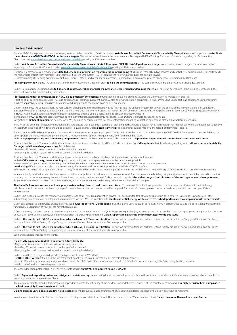#### **How does Daikin support**

Because HVAC-R equipment covers approximately 50% of total consumption, Daikin has trained **30 in-house Accredited Professionals/Sustainability Champions** across Europe who can **facilitate the achievement of BREEAM HVAC-R performance targets**. The earlier the involvement the more accurate the targeted BREEAM rating. For more information regarding our Sustainability Champions visit www.daikineurope.com/minisite/sustainability or ask your Daikin responsible.

Daikins **30 inhouse Accredited Professionals/Sustainability Champions facilitate follow up on BREEAM HVAC-R performance targets when initial design changes. For more information recarding our Sustainability Champions visit** regarding our Sustainability Champions visit www.daikineurope.com

Our Daikin representive can provide more detailed scheduling information regarding the commissioning of all Daikin HVAC-R building services and control system (Daikin BMS system) towards the responsible project team member(s). Furthermore, if Daikins BMS system (iTM) is installed, the following procedures are being followed.

1) Commissioning 2) Checking accurancy of air flow,T\_room, T\_off coil and other key parameters 3) Running BMS in auto mode prior to handover 4) Fully trained facilities team

Providing know-how during the design phase to the commissioning manager in order to help the commissioning of the complex HVAC-R building systems including BMS system.

Daikins Sustainability Champion has a **full library of guides, operation manuals, maintenance requirements and training materials. These can be included in the Building User Guide (BUG)** which will cover all relevant building information

**Professional and fast commissioning of HVAC-R equipment prior to occupation**. Further information is provided towards the Commissioning Manager in order to: 1) Testing of all building services under full load conditions, i.e. heating equipment in mid-winter, cooling/ventilation equipment in mid-summer, and under part load conditions (spring/autumn). 2) Where applicable, testing should also be carried out during periods of extreme (high or low) occupancy.

Design to minimise the concentration and recirculation of pollutants in the building: 1) Provide fresh air into the building in accordance with the criteria of the relevant standard for ventilation. 2) Design ventilation pathways as follows: Air intake and air exhausts are over 10m apart and intakes are over 20m from sources of external pollution or in accordance with BS EN13779:2007 Annex 2 3) HVAC system must incorporate suitable filtration to minimise external air pollution as defined in BS EN 13779:2007 Annex 3

4) Integration of **CO2 sensors** to create demand-controlled ventilation is possible. Only needed for large and unpredictable occupancy patterns.

Integration of **air handling units** can be done on VRV system and or chiller systems. For more information regarding ventilation equipment, please ask your Daikin responsible.

The aim of 'the potential for natural ventilation criteria' is to ensure that a building is capable of providing fresh air using a natural ventilation strategy. For mechanically ventilated buildings to achieve this credit, the opening of windows should be possible. To avoid energy waste, **possible interlock** to indoor units can be made via the forced-off terminals T1 and T2.

For air conditioned buildings, summer and winter operative temperature ranges in occupied spaces are in accordance with the criteria set out in CIBSE Guide A Environmental design2, Table 1.5; or other appropriate industry standard (where this sets a higher or more appropriate requirement/level for the building type)."

With a **varying evaporating and condensing temperature** based on ambient temperature, Daikin Indoor units are **providing higher thermal comfort levels and avoids cold drafts**.

Provided that the credit 'Thermal modelling' is achieved, this credit can be achieved by different Daikin solutions. E.g. a **VRV system** is flexible in heating/cooling which **allows a better adaptability for projected climate change scenarios**. Possibilities are:

- Providing BS box with extra ports which can be used when needed.

- Designing the outdoor system in line with expected changing load design.

Provided that the credit 'Thermal modelling' is achieved, this credit can be achieved by by providing a tailored made control solution.

With the **VRV Heat recovery, thermal zoning** with both cooling and heating requerements at the same time is possible.

The degree of occupant control can be freely chosen by the buildings management. For more information, please visit our sustainability website.<br>**Interlocking** different systems such as window contacts, thermostatic radiato

Information regarding the temperature control strategy for the building and its users. Providing users a tailer made level of control. Heat recovery to provide indvidual contro of heating/cooling Where a suitably qualified acoustician is appointed to define a bespoke set of performance requirements for all function areas in the building using the three acoustic principles defined in criterion

1, setting out the performance requirements for each and the testing regime required. Daikins portfolio considers **the widest range of units in terms of size and type to meet the requirement**. Proper selection, keeping in mind the criteria in HEA 05 Acoustic performance', can be easily done by our Sustainability Champion.

Thanks to Daikins heat recovery and heat pump systems a high level of credits can be achieved. This renewable technology guarantees the best seasonal efficiency & comfort. Energy calculation should be carried out based upon performance data. Around 8/9 credits should be targeted. For more information, please check our databooks, website or contact your Daikin representative.

Daikins BMS system provides the monitoring of energy usage of all HVAC-R equipment. In general, this accounts for 50% of total consumption (for a hotel this value adds up to 70%). All other<br>submetering equipment can be int

Daikin BMS system, called iTM, has a functionality called Power Proportional Distribution (PPD). This allows users to assign all relevant HVAC-R performance data to the correct tenant/department/ function area. Separation of your bill has never been so easy.

A feasibility study has been carried out by the completion of the Concept Design stage (RIBA Stage 2 or equivalent) by an energy specialist to establish the most appropriate recognised local (on-site or near-site) low or zero carbon (LZC) energy source(s) for the building/development **Daikin supports in delilvering the info neccessary to do this study**.

Daikin is the worlds first HVAC-R manufacturer which achieves a BES6001 certification. For now we have two factories certified. Ostend factory did achieve a "Very good" score and our Tsiech factory achieved a "Good" rating. For a pdf copy of these certificates, please contact your Daikin responsible.

Daikin is **the worlds first HVAC-R manufacturer which achieves a BES6001 certification**. For now we have two factories certified, Ostend factory did achieve a "Very good" score and our Tsjech factory achieved a "Good" rating. For a pdf copy of these certificates, please contact your Daikin responsible.

See our sustainable website for more info.

#### **Daikins VRV equipment is ideal to guarantee future flexibility**:

- Major refurbishment is possible due to flexibility of indoor units.

- Providing BS box with extra ports which can be used when needed.

- Designing the outdoor system in line with expected changing load design.

### Daikin uses different refrigerants dependent on type of application VRV/chillers/...

Our **DELC CO<sub>2</sub> is very low** thanks to the low refrigerant quantity used in our systems. Credits are calculated as follows:

- 1 credit: Where the systems using refrigerants have Direct Effect Life Cycle CO<sub>2</sub> equivalent emissions (DELC CO<sub>2</sub>e) of ≥ 100 and ≤ 1000 kgCO<sub>2</sub>e/kW cooling/heating capacity.

### 1 credit is possible due to low refrigerant volume.

The ozone depletion potential (ODP) of the refrigerants used in **our HVAC-R equipment has an ODP of 0**.

Daikins F-gas leak reporting system and refrigerant containment system allowing for recovery of refrigerants either to the outdoor unit or alternatively a separate recovery cylinder enable our systems to meet the requirements of Pol 1.

The amount of credits earned in this category is dependent on both the efficiency of the outdoor unit and the emission level of the country electricity grid. Our highly efficient heat pumps offer **the best possibility to score maximum credits**.

Daikins outdoor units operate at a low noise levels. Extra modes such as outdoor unit silent operation which decreases noise level up to 13 dB(A) during nighttime

In order to achieve this credit, 6 other credits accross all categories needs to be achieved (Hea 04, Ene 01, Ene 04, Wat 01, Mat 05, Pol 03). Daikin can assure Hea 04, Ene 01 and Ene 04.